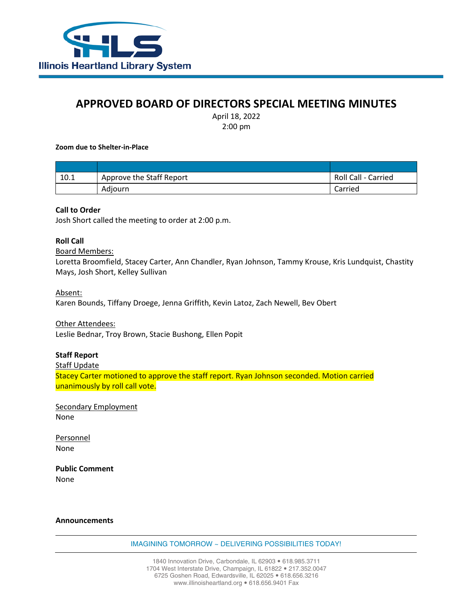

# **APPROVED BOARD OF DIRECTORS SPECIAL MEETING MINUTES**

April 18, 2022 2:00 pm

#### **Zoom due to Shelter-in-Place**

| 10.1 | Approve the Staff Report | Roll Call - Carried |
|------|--------------------------|---------------------|
|      | Adiourn                  | Carried             |

## **Call to Order**

Josh Short called the meeting to order at 2:00 p.m.

## **Roll Call**

#### Board Members:

Loretta Broomfield, Stacey Carter, Ann Chandler, Ryan Johnson, Tammy Krouse, Kris Lundquist, Chastity Mays, Josh Short, Kelley Sullivan

#### Absent:

Karen Bounds, Tiffany Droege, Jenna Griffith, Kevin Latoz, Zach Newell, Bev Obert

### Other Attendees:

Leslie Bednar, Troy Brown, Stacie Bushong, Ellen Popit

## **Staff Report**

Staff Update

Stacey Carter motioned to approve the staff report. Ryan Johnson seconded. Motion carried unanimously by roll call vote.

Secondary Employment None

Personnel None

**Public Comment** None

#### **Announcements**

IMAGINING TOMORROW ~ DELIVERING POSSIBILITIES TODAY!